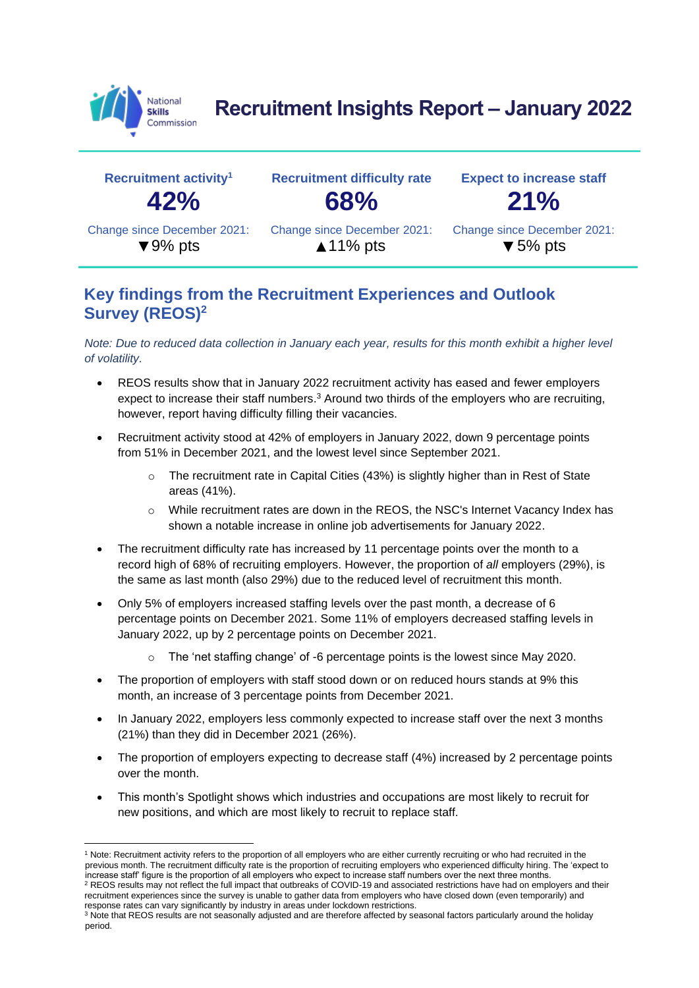

**Recruitment Insights Report – January 2022**

| Recruitment activity <sup>1</sup> | <b>Recruitment difficulty rate</b> | <b>Expect to increase staff</b> |  |  |
|-----------------------------------|------------------------------------|---------------------------------|--|--|
| 42%                               | 68%                                | 21%                             |  |  |
| Change since December 2021:       | Change since December 2021:        | Change since December 2021:     |  |  |
| $\blacktriangledown$ 9% pts       | $\triangle$ 11% pts                | $\blacktriangledown$ 5% pts     |  |  |

## **Key findings from the Recruitment Experiences and Outlook Survey (REOS)<sup>2</sup>**

*Note: Due to reduced data collection in January each year, results for this month exhibit a higher level of volatility.*

- REOS results show that in January 2022 recruitment activity has eased and fewer employers expect to increase their staff numbers.<sup>3</sup> Around two thirds of the employers who are recruiting, however, report having difficulty filling their vacancies.
- Recruitment activity stood at 42% of employers in January 2022, down 9 percentage points from 51% in December 2021, and the lowest level since September 2021.
	- o The recruitment rate in Capital Cities (43%) is slightly higher than in Rest of State areas (41%).
	- While recruitment rates are down in the REOS, the NSC's Internet Vacancy Index has shown a notable increase in online job advertisements for January 2022.
- The recruitment difficulty rate has increased by 11 percentage points over the month to a record high of 68% of recruiting employers. However, the proportion of *all* employers (29%), is the same as last month (also 29%) due to the reduced level of recruitment this month.
- Only 5% of employers increased staffing levels over the past month, a decrease of 6 percentage points on December 2021. Some 11% of employers decreased staffing levels in January 2022, up by 2 percentage points on December 2021.
	- The 'net staffing change' of -6 percentage points is the lowest since May 2020.
- The proportion of employers with staff stood down or on reduced hours stands at 9% this month, an increase of 3 percentage points from December 2021.
- In January 2022, employers less commonly expected to increase staff over the next 3 months (21%) than they did in December 2021 (26%).
- The proportion of employers expecting to decrease staff (4%) increased by 2 percentage points over the month.
- This month's Spotlight shows which industries and occupations are most likely to recruit for new positions, and which are most likely to recruit to replace staff.

<sup>1</sup> Note: Recruitment activity refers to the proportion of all employers who are either currently recruiting or who had recruited in the previous month. The recruitment difficulty rate is the proportion of recruiting employers who experienced difficulty hiring. The 'expect to increase staff' figure is the proportion of all employers who expect to increase staff numbers over the next three months.

<sup>&</sup>lt;sup>2</sup> REOS results may not reflect the full impact that outbreaks of COVID-19 and associated restrictions have had on employers and their recruitment experiences since the survey is unable to gather data from employers who have closed down (even temporarily) and response rates can vary significantly by industry in areas under lockdown restrictions.

<sup>&</sup>lt;sup>3</sup> Note that REOS results are not seasonally adjusted and are therefore affected by seasonal factors particularly around the holiday period.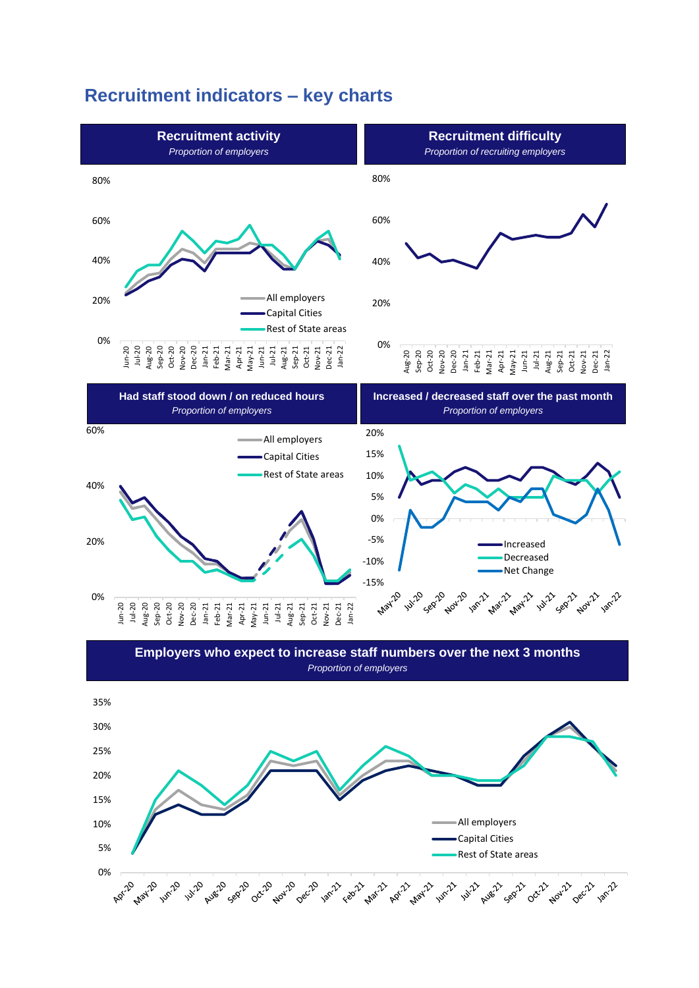## **Recruitment indicators – key charts**



*Proportion of employers*

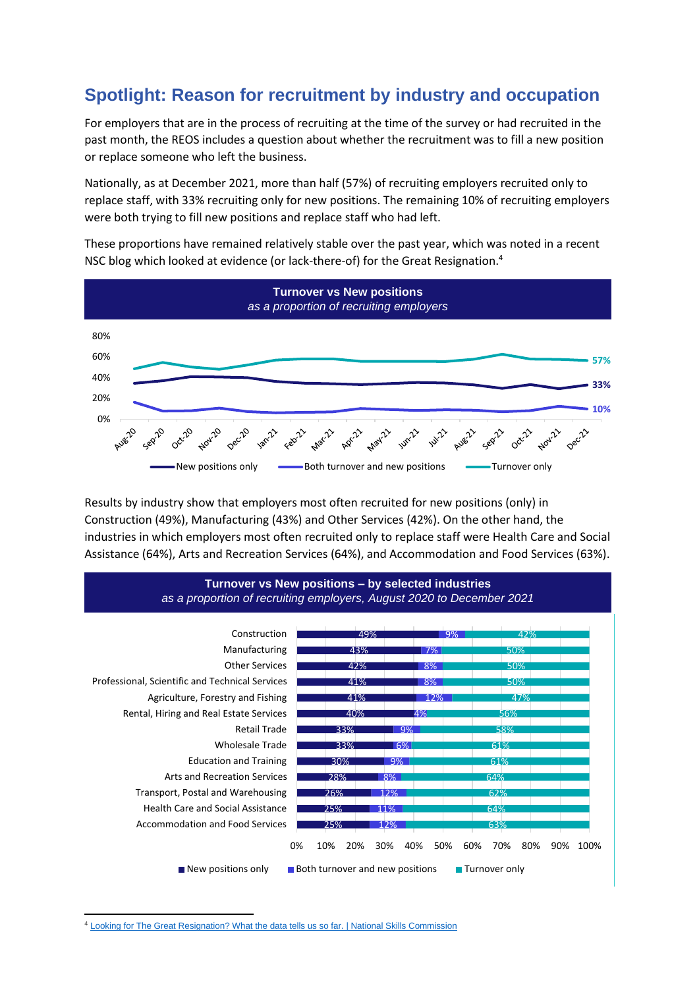## **Spotlight: Reason for recruitment by industry and occupation**

For employers that are in the process of recruiting at the time of the survey or had recruited in the past month, the REOS includes a question about whether the recruitment was to fill a new position or replace someone who left the business.

Nationally, as at December 2021, more than half (57%) of recruiting employers recruited only to replace staff, with 33% recruiting only for new positions. The remaining 10% of recruiting employers were both trying to fill new positions and replace staff who had left.

These proportions have remained relatively stable over the past year, which was noted in a recent NS[C blog which looked at evidence \(or lack-there-of\) for](https://www.nationalskillscommission.gov.au/news/news-centre/looking-great-resignation-what-data-tells-us-so-far) the Great Resignation. 4



Results by industry show that employers most often recruited for new positions (only) in Construction (49%), Manufacturing (43%) and Other Services (42%). On the other hand, the industries in which employers most often recruited only to replace staff were Health Care and Social Assistance (64%), Arts and Recreation Services (64%), and Accommodation and Food Services (63%).



<sup>4</sup> [Looking for The Great Resignation? What the data tells us so far. | National Skills Commission](https://www.nationalskillscommission.gov.au/news/news-centre/looking-great-resignation-what-data-tells-us-so-far)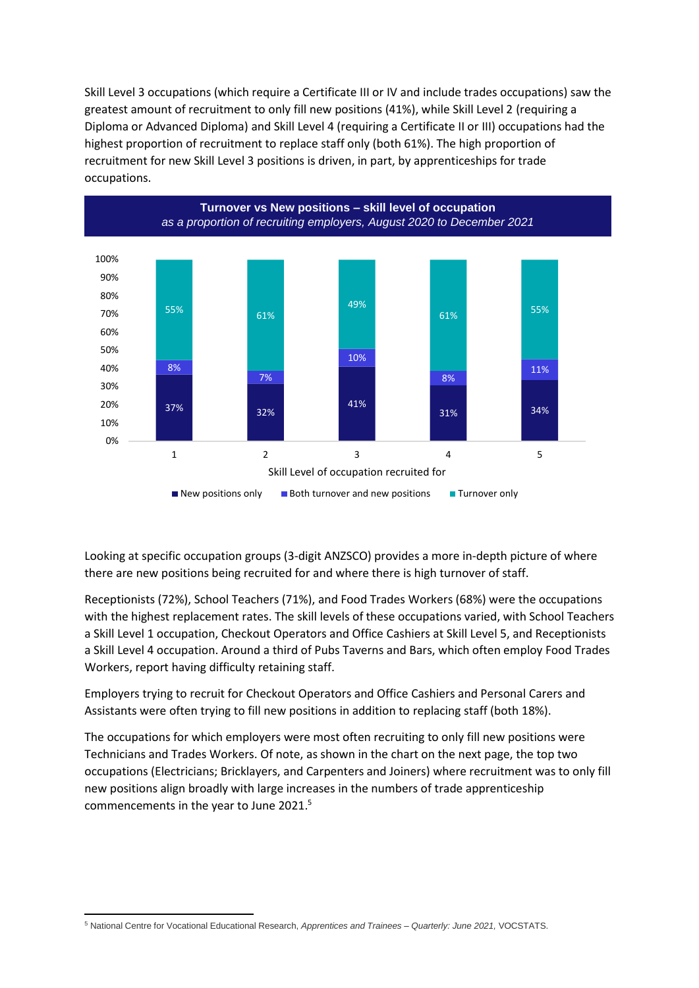Skill Level 3 occupations (which require a Certificate III or IV and include trades occupations) saw the greatest amount of recruitment to only fill new positions (41%), while Skill Level 2 (requiring a Diploma or Advanced Diploma) and Skill Level 4 (requiring a Certificate II or III) occupations had the highest proportion of recruitment to replace staff only (both 61%). The high proportion of recruitment for new Skill Level 3 positions is driven, in part, by apprenticeships for trade occupations.



Looking at specific occupation groups (3-digit ANZSCO) provides a more in-depth picture of where there are new positions being recruited for and where there is high turnover of staff.

Receptionists (72%), School Teachers (71%), and Food Trades Workers (68%) were the occupations with the highest replacement rates. The skill levels of these occupations varied, with School Teachers a Skill Level 1 occupation, Checkout Operators and Office Cashiers at Skill Level 5, and Receptionists a Skill Level 4 occupation. Around a third of Pubs Taverns and Bars, which often employ Food Trades Workers, report having difficulty retaining staff.

Employers trying to recruit for Checkout Operators and Office Cashiers and Personal Carers and Assistants were often trying to fill new positions in addition to replacing staff (both 18%).

The occupations for which employers were most often recruiting to only fill new positions were Technicians and Trades Workers. Of note, as shown in the chart on the next page, the top two occupations (Electricians; Bricklayers, and Carpenters and Joiners) where recruitment was to only fill new positions align broadly with large increases in the numbers of trade apprenticeship commencements in the year to June 2021. 5

<sup>5</sup> National Centre for Vocational Educational Research, *Apprentices and Trainees – Quarterly: June 2021,* VOCSTATS.